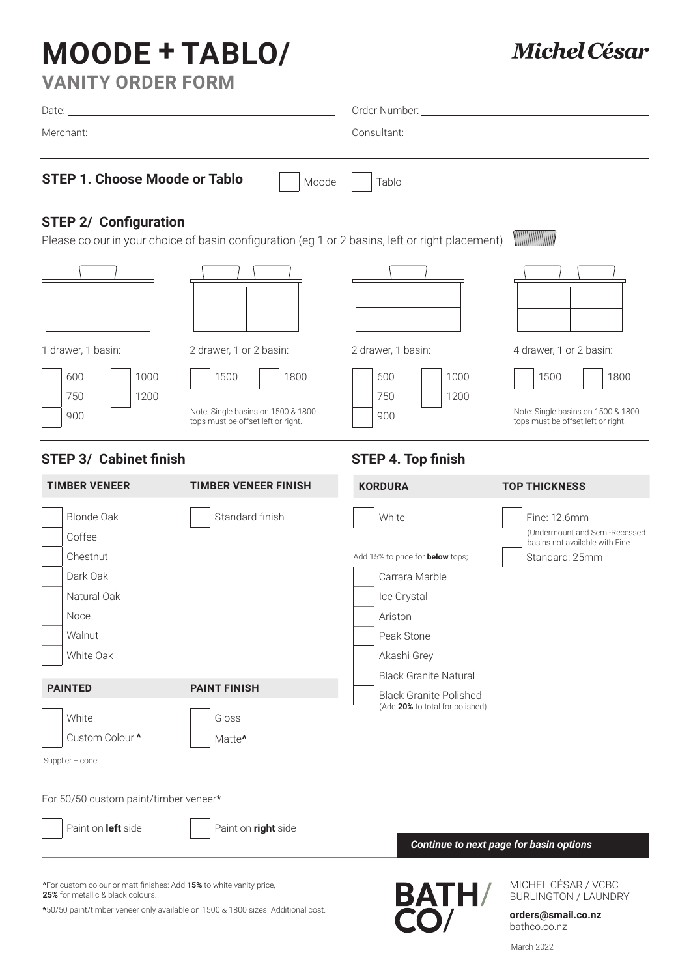# **MOODE + TABLO/**

## **Michel César**

| <b>VANITY ORDER FORM</b>             |                |                                                                                                                                                                                                                                |
|--------------------------------------|----------------|--------------------------------------------------------------------------------------------------------------------------------------------------------------------------------------------------------------------------------|
|                                      |                | Order Number: The Contract of the Contract of the Contract of the Contract of the Contract of the Co                                                                                                                           |
|                                      |                | Consultant: the consultant of the consultant of the consultant of the consultant of the consultant of the consultant of the consultant of the consultant of the consultant of the consultant of the consultant of the consulta |
| <b>STEP 1. Choose Moode or Tablo</b> | Moode<br>Tablo |                                                                                                                                                                                                                                |

### **STEP 2/ Configuration**

Please colour in your choice of basin configuration (eg 1 or 2 basins, left or right placement) MANAHAMANA

| 1 drawer, 1 basin:                | 2 drawer, 1 or 2 basin:                                                                  | 2 drawer, 1 basin:                | 4 drawer, 1 or 2 basin:                                                                  |
|-----------------------------------|------------------------------------------------------------------------------------------|-----------------------------------|------------------------------------------------------------------------------------------|
| 600<br>1000<br>750<br>1200<br>900 | 1500<br>1800<br>Note: Single basins on 1500 & 1800<br>tops must be offset left or right. | 1000<br>600<br>750<br>1200<br>900 | 1500<br>1800<br>Note: Single basins on 1500 & 1800<br>tops must be offset left or right. |

#### **STEP 3/ Cabinet finish**

### **STEP 4. Top finish**

| <b>TIMBER VENEER</b>                                                                       | <b>TIMBER VENEER FINISH</b> | <b>KORDURA</b>                                                                                                                                            | <b>TOP THICKNESS</b>                                                                              |
|--------------------------------------------------------------------------------------------|-----------------------------|-----------------------------------------------------------------------------------------------------------------------------------------------------------|---------------------------------------------------------------------------------------------------|
| Blonde Oak<br>Coffee<br>Chestnut<br>Dark Oak<br>Natural Oak<br>Noce<br>Walnut<br>White Oak | Standard finish             | White<br>Add 15% to price for <b>below</b> tops;<br>Carrara Marble<br>Ice Crystal<br>Ariston<br>Peak Stone<br>Akashi Grey<br><b>Black Granite Natural</b> | Fine: 12.6mm<br>(Undermount and Semi-Recessed<br>basins not available with Fine<br>Standard: 25mm |
| <b>PAINTED</b>                                                                             | <b>PAINT FINISH</b>         | <b>Black Granite Polished</b>                                                                                                                             |                                                                                                   |
| White<br>Custom Colour ^<br>Supplier + code:                                               | Gloss<br>Matte <sup>^</sup> | (Add 20% to total for polished)                                                                                                                           |                                                                                                   |
| For 50/50 custom paint/timber veneer*                                                      |                             |                                                                                                                                                           |                                                                                                   |
| Paint on <b>left</b> side                                                                  | Paint on right side         |                                                                                                                                                           |                                                                                                   |

**^**For custom colour or matt finishes: Add **15%** to white vanity price, **25%** for metallic & black colours.

**\***50/50 paint/timber veneer only available on 1500 & 1800 sizes. Additional cost.

*Continue to next page for basin options*

**BATH/** 

MICHEL CÉSAR / VCBC BURLINGTON / LAUNDRY

**orders@smail.co.nz** bathco.co.nz

March 2022